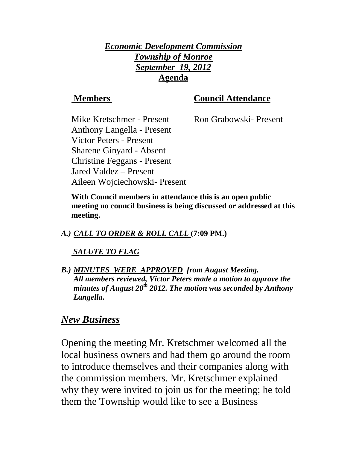## *Economic Development Commission Township of Monroe September 19, 2012* **Agenda**

## **Members** Council Attendance

Mike Kretschmer - Present Ron Grabowski- Present Anthony Langella - Present Victor Peters - Present Sharene Ginyard - Absent Jared Valdez – Present

Christine Feggans - Present Aileen Wojciechowski- Present **With Council members in attendance this is an open public meeting no council business is being discussed or addressed at this meeting.** 

## *A.) CALL TO ORDER & ROLL CALL* **(7:09 PM.)**

## *SALUTE TO FLAG*

*B.) MINUTES WERE APPROVED from August Meeting. All members reviewed, Victor Peters made a motion to approve the minutes of August 20th 2012. The motion was seconded by Anthony Langella.* 

## *New Business*

Opening the meeting Mr. Kretschmer welcomed all the local business owners and had them go around the room to introduce themselves and their companies along with the commission members. Mr. Kretschmer explained why they were invited to join us for the meeting; he told them the Township would like to see a Business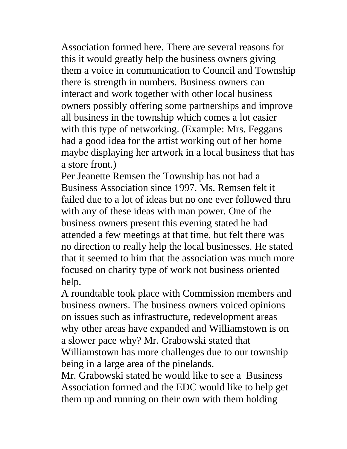Association formed here. There are several reasons for this it would greatly help the business owners giving them a voice in communication to Council and Township there is strength in numbers. Business owners can interact and work together with other local business owners possibly offering some partnerships and improve all business in the township which comes a lot easier with this type of networking. (Example: Mrs. Feggans had a good idea for the artist working out of her home maybe displaying her artwork in a local business that has a store front.)

Per Jeanette Remsen the Township has not had a Business Association since 1997. Ms. Remsen felt it failed due to a lot of ideas but no one ever followed thru with any of these ideas with man power. One of the business owners present this evening stated he had attended a few meetings at that time, but felt there was no direction to really help the local businesses. He stated that it seemed to him that the association was much more focused on charity type of work not business oriented help.

A roundtable took place with Commission members and business owners. The business owners voiced opinions on issues such as infrastructure, redevelopment areas why other areas have expanded and Williamstown is on a slower pace why? Mr. Grabowski stated that Williamstown has more challenges due to our township being in a large area of the pinelands.

Mr. Grabowski stated he would like to see a Business Association formed and the EDC would like to help get them up and running on their own with them holding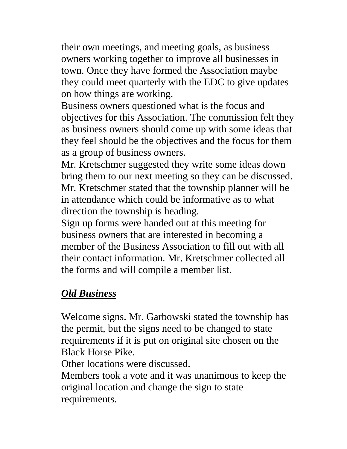their own meetings, and meeting goals, as business owners working together to improve all businesses in town. Once they have formed the Association maybe they could meet quarterly with the EDC to give updates on how things are working.

Business owners questioned what is the focus and objectives for this Association. The commission felt they as business owners should come up with some ideas that they feel should be the objectives and the focus for them as a group of business owners.

Mr. Kretschmer suggested they write some ideas down bring them to our next meeting so they can be discussed. Mr. Kretschmer stated that the township planner will be in attendance which could be informative as to what direction the township is heading.

Sign up forms were handed out at this meeting for business owners that are interested in becoming a member of the Business Association to fill out with all their contact information. Mr. Kretschmer collected all the forms and will compile a member list.

## *Old Business*

Welcome signs. Mr. Garbowski stated the township has the permit, but the signs need to be changed to state requirements if it is put on original site chosen on the Black Horse Pike.

Other locations were discussed.

Members took a vote and it was unanimous to keep the original location and change the sign to state requirements.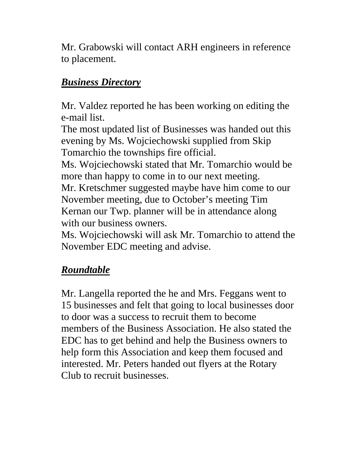Mr. Grabowski will contact ARH engineers in reference to placement.

# *Business Directory*

Mr. Valdez reported he has been working on editing the e-mail list.

The most updated list of Businesses was handed out this evening by Ms. Wojciechowski supplied from Skip Tomarchio the townships fire official.

Ms. Wojciechowski stated that Mr. Tomarchio would be more than happy to come in to our next meeting. Mr. Kretschmer suggested maybe have him come to our

November meeting, due to October's meeting Tim Kernan our Twp. planner will be in attendance along with our business owners.

Ms. Wojciechowski will ask Mr. Tomarchio to attend the November EDC meeting and advise.

# *Roundtable*

Mr. Langella reported the he and Mrs. Feggans went to 15 businesses and felt that going to local businesses door to door was a success to recruit them to become members of the Business Association. He also stated the EDC has to get behind and help the Business owners to help form this Association and keep them focused and interested. Mr. Peters handed out flyers at the Rotary Club to recruit businesses.